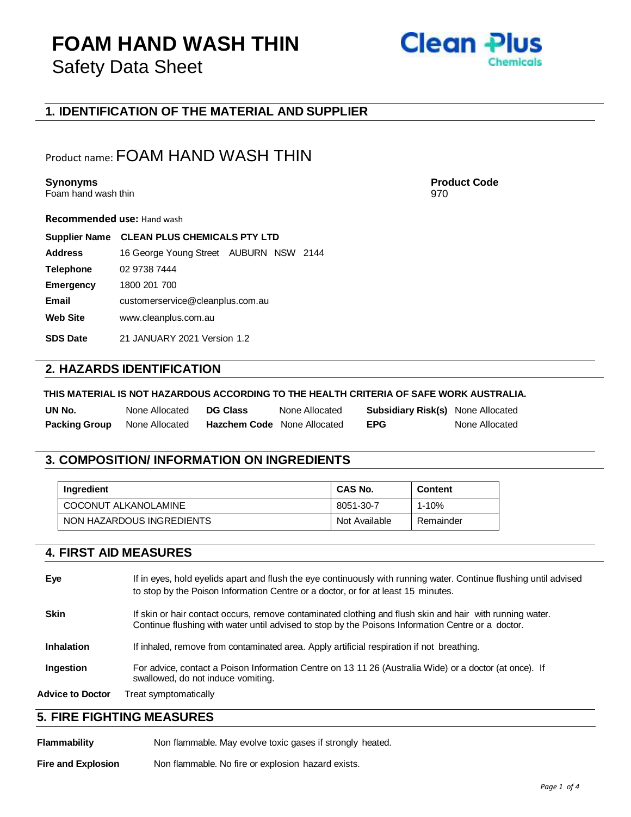## **FOAM HAND WASH THIN** Safety Data Sheet



## **1. IDENTIFICATION OF THE MATERIAL AND SUPPLIER**

## Product name: FOAM HAND WASH THIN

### **Synonyms Product Code**

Foam hand wash thin 970

**Recommended use:** Hand wash

| <b>Supplier Name</b> | <b>CLEAN PLUS CHEMICALS PTY LTD</b>    |  |  |  |
|----------------------|----------------------------------------|--|--|--|
| <b>Address</b>       | 16 George Young Street AUBURN NSW 2144 |  |  |  |
| <b>Telephone</b>     | 02 9738 7444                           |  |  |  |
| <b>Emergency</b>     | 1800 201 700                           |  |  |  |
| Email                | customerservice@cleanplus.com.au       |  |  |  |
| <b>Web Site</b>      | www.cleanplus.com.au                   |  |  |  |
| <b>SDS Date</b>      | 21 JANUARY 2021 Version 1.2            |  |  |  |
|                      |                                        |  |  |  |

### **2. HAZARDS IDENTIFICATION**

#### **THIS MATERIAL IS NOT HAZARDOUS ACCORDING TO THE HEALTH CRITERIA OF SAFE WORK AUSTRALIA.**

| UN No.               | None Allocated | <b>DG Class</b>                    | None Allocated | <b>Subsidiary Risk(s)</b> None Allocated |                |
|----------------------|----------------|------------------------------------|----------------|------------------------------------------|----------------|
| <b>Packing Group</b> | None Allocated | <b>Hazchem Code</b> None Allocated |                | <b>EPG</b>                               | None Allocated |

## **3. COMPOSITION/ INFORMATION ON INGREDIENTS**

| Ingredient                | CAS No.       | <b>Content</b> |
|---------------------------|---------------|----------------|
| COCONUT ALKANOLAMINE      | 8051-30-7     | 1-10%          |
| NON HAZARDOUS INGREDIENTS | Not Available | Remainder      |

## **4. FIRST AID MEASURES**

| Eye                     | If in eyes, hold eyelids apart and flush the eye continuously with running water. Continue flushing until advised<br>to stop by the Poison Information Centre or a doctor, or for at least 15 minutes.        |
|-------------------------|---------------------------------------------------------------------------------------------------------------------------------------------------------------------------------------------------------------|
| <b>Skin</b>             | If skin or hair contact occurs, remove contaminated clothing and flush skin and hair with running water.<br>Continue flushing with water until advised to stop by the Poisons Information Centre or a doctor. |
| <b>Inhalation</b>       | If inhaled, remove from contaminated area. Apply artificial respiration if not breathing.                                                                                                                     |
| Ingestion               | For advice, contact a Poison Information Centre on 13 11 26 (Australia Wide) or a doctor (at once). If<br>swallowed, do not induce vomiting.                                                                  |
| <b>Advice to Doctor</b> | Treat symptomatically                                                                                                                                                                                         |

### **5. FIRE FIGHTING MEASURES**

Flammability Non flammable. May evolve toxic gases if strongly heated.

**Fire and Explosion** Non flammable. No fire or explosion hazard exists.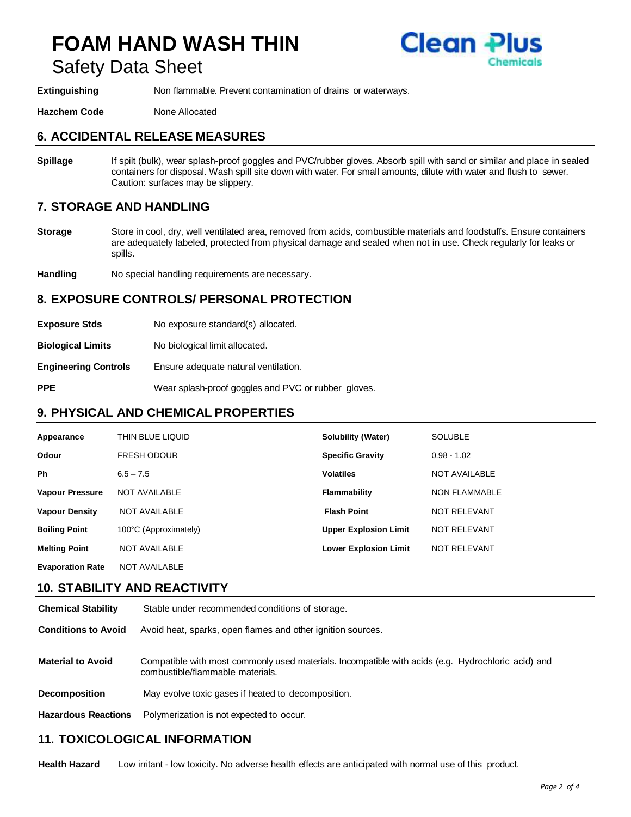# **FOAM HAND WASH THIN** Safety Data Sheet



**Extinguishing** Non flammable. Prevent contamination of drains or waterways.

**Hazchem Code** None Allocated

### **6. ACCIDENTAL RELEASE MEASURES**

**Spillage** If spilt (bulk), wear splash-proof goggles and PVC/rubber gloves. Absorb spill with sand or similar and place in sealed containers for disposal. Wash spill site down with water. For small amounts, dilute with water and flush to sewer. Caution: surfaces may be slippery.

## **7. STORAGE AND HANDLING**

**Storage** Store in cool, dry, well ventilated area, removed from acids, combustible materials and foodstuffs. Ensure containers are adequately labeled, protected from physical damage and sealed when not in use. Check regularly for leaks or spills.

**Handling** No special handling requirements are necessary.

### **8. EXPOSURE CONTROLS/ PERSONAL PROTECTION**

**Exposure Stds** No exposure standard(s) allocated.

**Biological Limits** No biological limit allocated.

**Engineering Controls** Ensure adequate natural ventilation.

**PPE** Wear splash-proof goggles and PVC or rubber gloves.

## **9. PHYSICAL AND CHEMICAL PROPERTIES**

| Appearance              | THIN BLUE LIQUID      | <b>Solubility (Water)</b>    | <b>SOLUBLE</b>       |
|-------------------------|-----------------------|------------------------------|----------------------|
| Odour                   | <b>FRESH ODOUR</b>    | <b>Specific Gravity</b>      | $0.98 - 1.02$        |
| <b>Ph</b>               | $6.5 - 7.5$           | <b>Volatiles</b>             | <b>NOT AVAILABLE</b> |
| <b>Vapour Pressure</b>  | <b>NOT AVAILABLE</b>  | Flammability                 | <b>NON FLAMMABLE</b> |
| <b>Vapour Density</b>   | <b>NOT AVAILABLE</b>  | <b>Flash Point</b>           | NOT RELEVANT         |
| <b>Boiling Point</b>    | 100°C (Approximately) | <b>Upper Explosion Limit</b> | NOT RELEVANT         |
| <b>Melting Point</b>    | <b>NOT AVAILABLE</b>  | <b>Lower Explosion Limit</b> | NOT RELEVANT         |
| <b>Evaporation Rate</b> | <b>NOT AVAILABLE</b>  |                              |                      |

### **10. STABILITY AND REACTIVITY**

| <b>Chemical Stability</b>  | Stable under recommended conditions of storage.                                                                                        |
|----------------------------|----------------------------------------------------------------------------------------------------------------------------------------|
| <b>Conditions to Avoid</b> | Avoid heat, sparks, open flames and other ignition sources.                                                                            |
| <b>Material to Avoid</b>   | Compatible with most commonly used materials. Incompatible with acids (e.g. Hydrochloric acid) and<br>combustible/flammable materials. |
| <b>Decomposition</b>       | May evolve toxic gases if heated to decomposition.                                                                                     |
| <b>Hazardous Reactions</b> | Polymerization is not expected to occur.                                                                                               |

### **11. TOXICOLOGICAL INFORMATION**

**Health Hazard** Low irritant - low toxicity. No adverse health effects are anticipated with normal use of this product.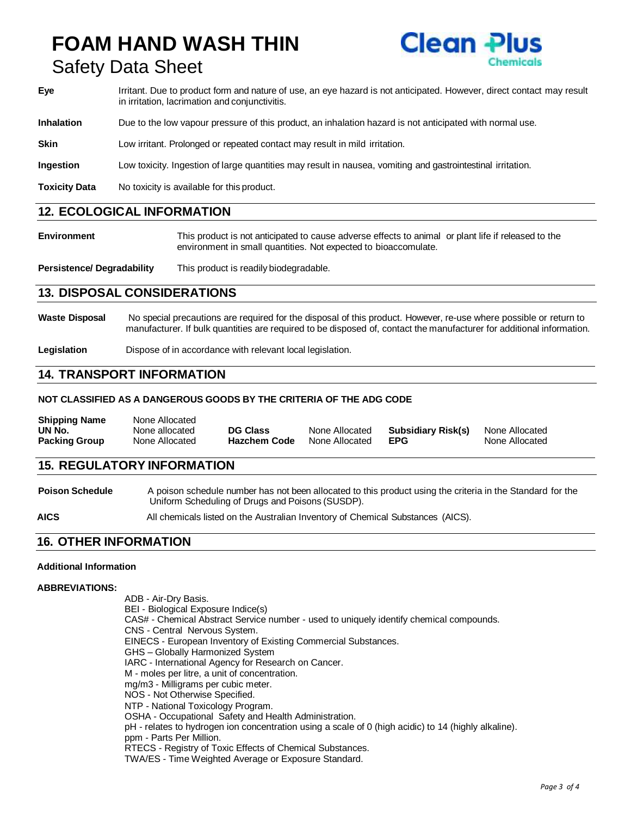# **FOAM HAND WASH THIN** Safety Data Sheet



- **Eye** Irritant. Due to product form and nature of use, an eye hazard is not anticipated. However, direct contact may result in irritation, lacrimation and conjunctivitis.
- **Inhalation** Due to the low vapour pressure of this product, an inhalation hazard is not anticipated with normal use.

**Skin** Low irritant. Prolonged or repeated contact may result in mild irritation.

**Ingestion** Low toxicity. Ingestion of large quantities may result in nausea, vomiting and gastrointestinal irritation.

**Toxicity Data** No toxicity is available for this product.

### **12. ECOLOGICAL INFORMATION**

**Environment** This product is not anticipated to cause adverse effects to animal or plant life if released to the environment in small quantities. Not expected to bioaccomulate.

**Persistence/ Degradability** This product is readily biodegradable.

### **13. DISPOSAL CONSIDERATIONS**

**Waste Disposal** No special precautions are required for the disposal of this product. However, re-use where possible or return to manufacturer. If bulk quantities are required to be disposed of, contact the manufacturer for additional information.

**Legislation** Dispose of in accordance with relevant local legislation.

### **14. TRANSPORT INFORMATION**

### **NOT CLASSIFIED AS A DANGEROUS GOODS BY THE CRITERIA OF THE ADG CODE**

| <b>Shipping Name</b> | None Allocated |                 |                |                    |                |
|----------------------|----------------|-----------------|----------------|--------------------|----------------|
| UN No.               | None allocated | <b>DG Class</b> | None Allocated | Subsidiary Risk(s) | None Allocated |
| <b>Packing Group</b> | None Allocated | Hazchem Code    | None Allocated | <b>EPG</b>         | None Allocated |

### **15. REGULATORY INFORMATION**

**Poison Schedule** A poison schedule number has not been allocated to this product using the criteria in the Standard for the Uniform Scheduling of Drugs and Poisons (SUSDP).

**AICS** All chemicals listed on the Australian Inventory of Chemical Substances (AICS).

## **16. OTHER INFORMATION**

#### **Additional Information**

#### **ABBREVIATIONS:**

ADB - Air-Dry Basis. BEI - Biological Exposure Indice(s) CAS# - Chemical Abstract Service number - used to uniquely identify chemical compounds. CNS - Central Nervous System. EINECS - European Inventory of Existing Commercial Substances. GHS – Globally Harmonized System IARC - International Agency for Research on Cancer. M - moles per litre, a unit of concentration. mg/m3 - Milligrams per cubic meter. NOS - Not Otherwise Specified. NTP - National Toxicology Program. OSHA - Occupational Safety and Health Administration. pH - relates to hydrogen ion concentration using a scale of 0 (high acidic) to 14 (highly alkaline). ppm - Parts Per Million. RTECS - Registry of Toxic Effects of Chemical Substances. TWA/ES - Time Weighted Average or Exposure Standard.